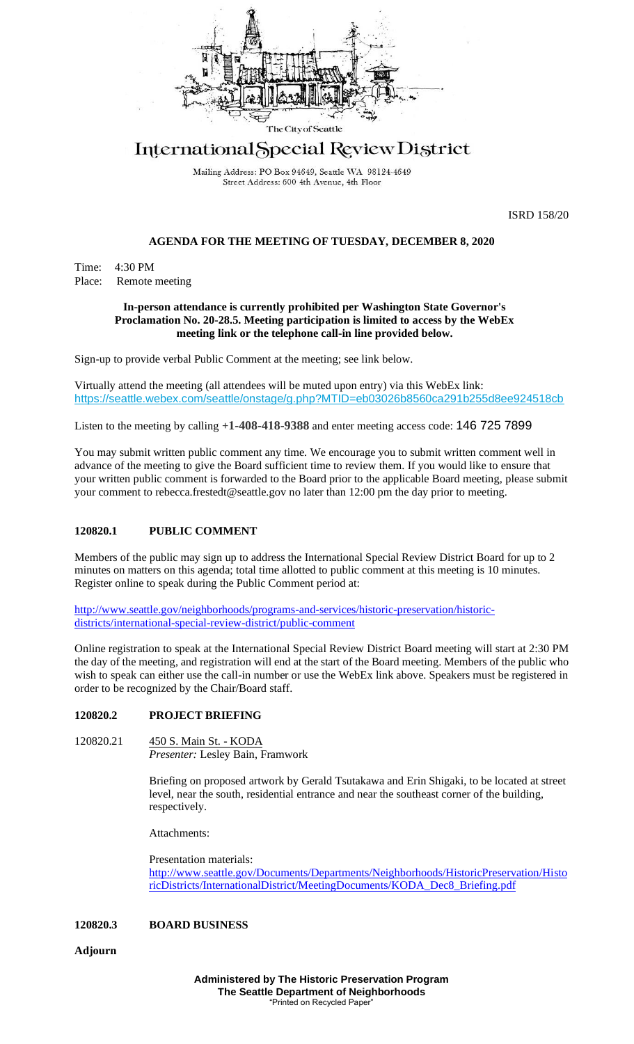

# International Special Review District

Mailing Address: PO Box 94649, Seattle WA 98124-4649 Street Address: 600 4th Avenue, 4th Floor

ISRD 158/20

### **AGENDA FOR THE MEETING OF TUESDAY, DECEMBER 8, 2020**

Time: 4:30 PM Place: Remote meeting

#### **In-person attendance is currently prohibited per Washington State Governor's Proclamation No. 20-28.5. Meeting participation is limited to access by the WebEx meeting link or the telephone call-in line provided below.**

Sign-up to provide verbal Public Comment at the meeting; see link below.

Virtually attend the meeting (all attendees will be muted upon entry) via this WebEx link: <https://seattle.webex.com/seattle/onstage/g.php?MTID=eb03026b8560ca291b255d8ee924518cb>

Listen to the meeting by calling **+1-408-418-9388** and enter meeting access code: 146 725 7899

You may submit written public comment any time. We encourage you to submit written comment well in advance of the meeting to give the Board sufficient time to review them. If you would like to ensure that your written public comment is forwarded to the Board prior to the applicable Board meeting, please submit your comment to rebecca.frestedt@seattle.gov no later than 12:00 pm the day prior to meeting.

### **120820.1 PUBLIC COMMENT**

Members of the public may sign up to address the International Special Review District Board for up to 2 minutes on matters on this agenda; total time allotted to public comment at this meeting is 10 minutes. Register online to speak during the Public Comment period at:

[http://www.seattle.gov/neighborhoods/programs-and-services/historic-preservation/historic](http://www.seattle.gov/neighborhoods/programs-and-services/historic-preservation/historic-districts/international-special-review-district/public-comment)[districts/international-special-review-district/public-comment](http://www.seattle.gov/neighborhoods/programs-and-services/historic-preservation/historic-districts/international-special-review-district/public-comment)

Online registration to speak at the International Special Review District Board meeting will start at 2:30 PM the day of the meeting, and registration will end at the start of the Board meeting. Members of the public who wish to speak can either use the call-in number or use the WebEx link above. Speakers must be registered in order to be recognized by the Chair/Board staff.

## **120820.2 PROJECT BRIEFING**

120820.21 450 S. Main St. - KODA *Presenter:* Lesley Bain, Framwork

> Briefing on proposed artwork by Gerald Tsutakawa and Erin Shigaki, to be located at street level, near the south, residential entrance and near the southeast corner of the building, respectively.

Attachments:

Presentation materials: [http://www.seattle.gov/Documents/Departments/Neighborhoods/HistoricPreservation/Histo](http://www.seattle.gov/Documents/Departments/Neighborhoods/HistoricPreservation/HistoricDistricts/InternationalDistrict/MeetingDocuments/KODA_Dec8_Briefing.pdf) [ricDistricts/InternationalDistrict/MeetingDocuments/KODA\\_Dec8\\_Briefing.pdf](http://www.seattle.gov/Documents/Departments/Neighborhoods/HistoricPreservation/HistoricDistricts/InternationalDistrict/MeetingDocuments/KODA_Dec8_Briefing.pdf)

### **120820.3 BOARD BUSINESS**

**Adjourn**